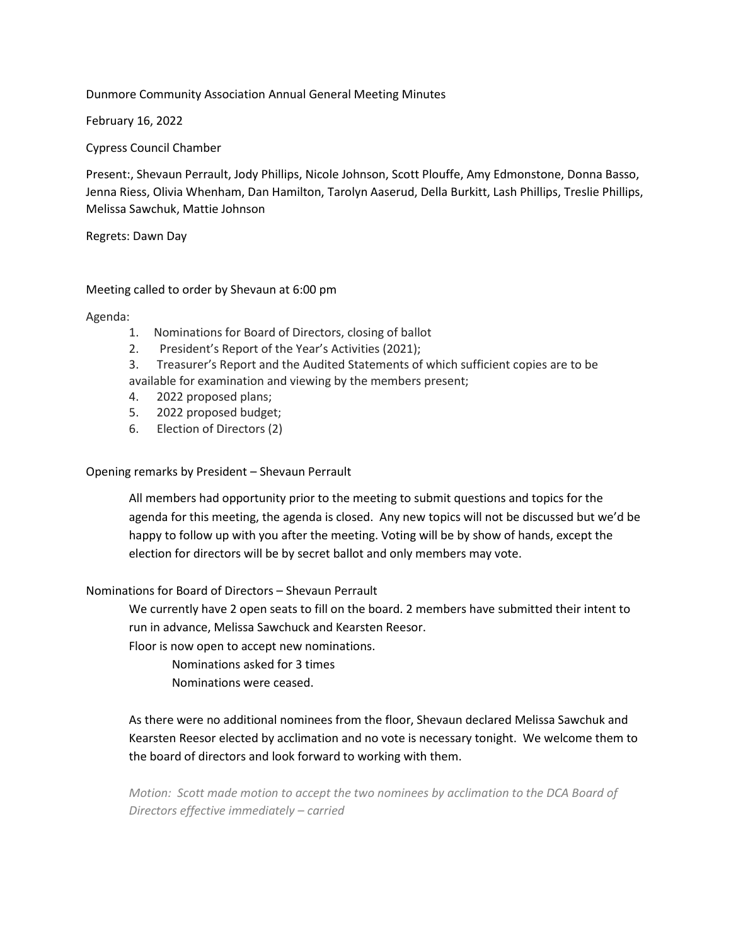# Dunmore Community Association Annual General Meeting Minutes

February 16, 2022

Cypress Council Chamber

Present:, Shevaun Perrault, Jody Phillips, Nicole Johnson, Scott Plouffe, Amy Edmonstone, Donna Basso, Jenna Riess, Olivia Whenham, Dan Hamilton, Tarolyn Aaserud, Della Burkitt, Lash Phillips, Treslie Phillips, Melissa Sawchuk, Mattie Johnson

Regrets: Dawn Day

# Meeting called to order by Shevaun at 6:00 pm

Agenda:

- 1. Nominations for Board of Directors, closing of ballot
- 2. President's Report of the Year's Activities (2021);
- 3. Treasurer's Report and the Audited Statements of which sufficient copies are to be available for examination and viewing by the members present;
- 4. 2022 proposed plans;
- 5. 2022 proposed budget;
- 6. Election of Directors (2)

Opening remarks by President – Shevaun Perrault

All members had opportunity prior to the meeting to submit questions and topics for the agenda for this meeting, the agenda is closed. Any new topics will not be discussed but we'd be happy to follow up with you after the meeting. Voting will be by show of hands, except the election for directors will be by secret ballot and only members may vote.

Nominations for Board of Directors – Shevaun Perrault

We currently have 2 open seats to fill on the board. 2 members have submitted their intent to run in advance, Melissa Sawchuck and Kearsten Reesor.

Floor is now open to accept new nominations.

Nominations asked for 3 times

Nominations were ceased.

As there were no additional nominees from the floor, Shevaun declared Melissa Sawchuk and Kearsten Reesor elected by acclimation and no vote is necessary tonight. We welcome them to the board of directors and look forward to working with them.

*Motion: Scott made motion to accept the two nominees by acclimation to the DCA Board of Directors effective immediately – carried*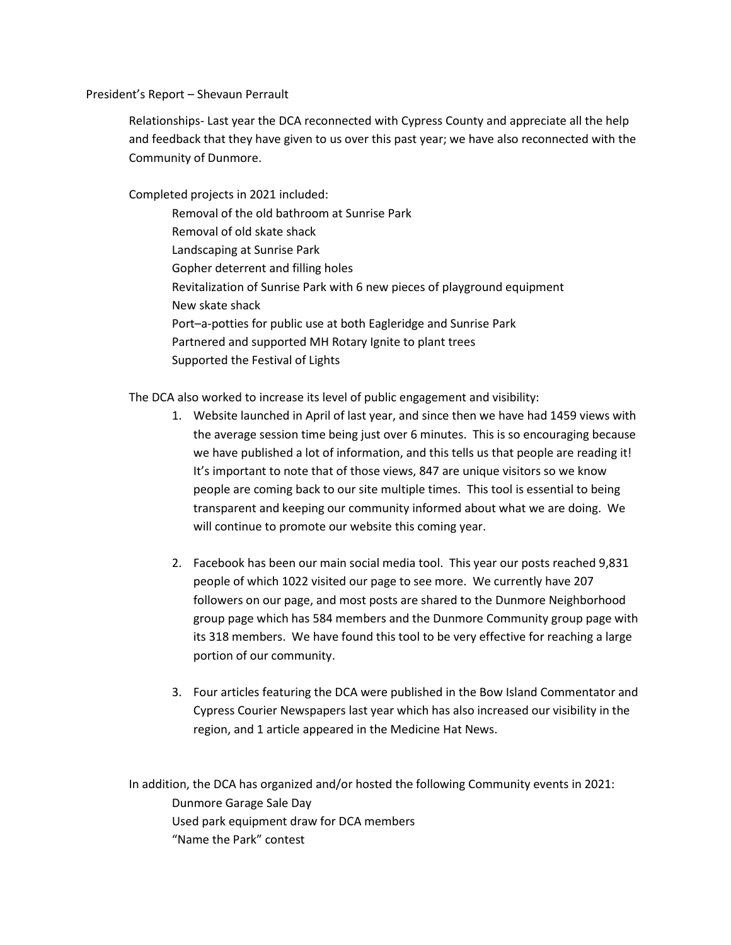### President's Report – Shevaun Perrault

Relationships- Last year the DCA reconnected with Cypress County and appreciate all the help and feedback that they have given to us over this past year; we have also reconnected with the Community of Dunmore.

Completed projects in 2021 included:

Removal of the old bathroom at Sunrise Park Removal of old skate shack Landscaping at Sunrise Park Gopher deterrent and filling holes Revitalization of Sunrise Park with 6 new pieces of playground equipment New skate shack Port–a-potties for public use at both Eagleridge and Sunrise Park Partnered and supported MH Rotary Ignite to plant trees Supported the Festival of Lights

The DCA also worked to increase its level of public engagement and visibility:

- 1. Website launched in April of last year, and since then we have had 1459 views with the average session time being just over 6 minutes. This is so encouraging because we have published a lot of information, and this tells us that people are reading it! It's important to note that of those views, 847 are unique visitors so we know people are coming back to our site multiple times. This tool is essential to being transparent and keeping our community informed about what we are doing. We will continue to promote our website this coming year.
- 2. Facebook has been our main social media tool. This year our posts reached 9,831 people of which 1022 visited our page to see more. We currently have 207 followers on our page, and most posts are shared to the Dunmore Neighborhood group page which has 584 members and the Dunmore Community group page with its 318 members. We have found this tool to be very effective for reaching a large portion of our community.
- 3. Four articles featuring the DCA were published in the Bow Island Commentator and Cypress Courier Newspapers last year which has also increased our visibility in the region, and 1 article appeared in the Medicine Hat News.

In addition, the DCA has organized and/or hosted the following Community events in 2021: Dunmore Garage Sale Day Used park equipment draw for DCA members "Name the Park" contest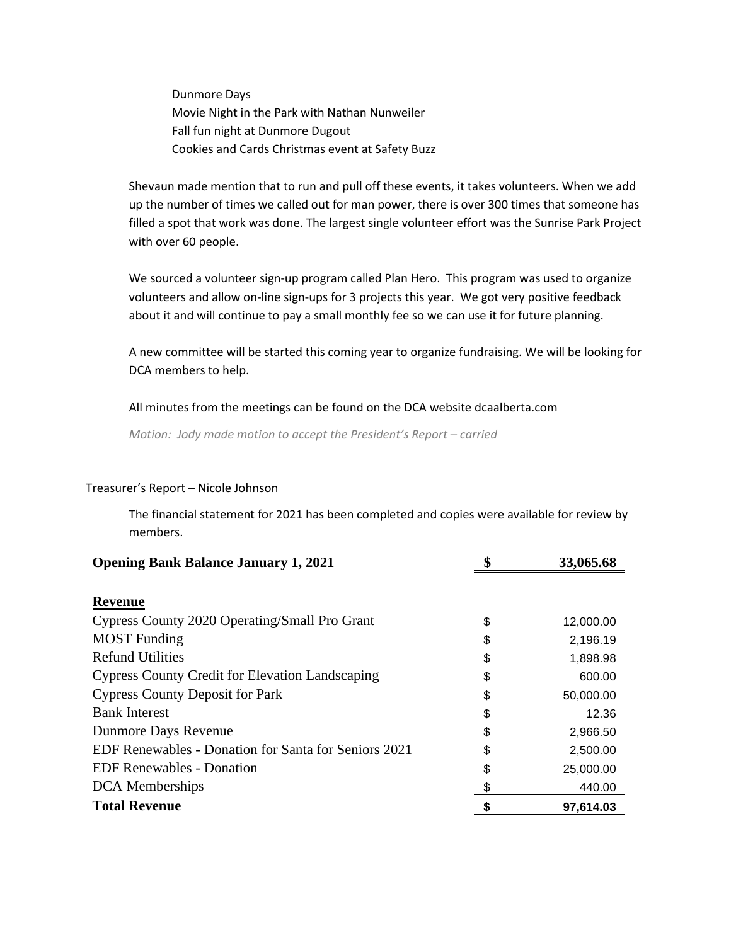Dunmore Days Movie Night in the Park with Nathan Nunweiler Fall fun night at Dunmore Dugout Cookies and Cards Christmas event at Safety Buzz

Shevaun made mention that to run and pull off these events, it takes volunteers. When we add up the number of times we called out for man power, there is over 300 times that someone has filled a spot that work was done. The largest single volunteer effort was the Sunrise Park Project with over 60 people.

We sourced a volunteer sign-up program called Plan Hero. This program was used to organize volunteers and allow on-line sign-ups for 3 projects this year. We got very positive feedback about it and will continue to pay a small monthly fee so we can use it for future planning.

A new committee will be started this coming year to organize fundraising. We will be looking for DCA members to help.

All minutes from the meetings can be found on the DCA website dcaalberta.com

*Motion: Jody made motion to accept the President's Report – carried*

| <b>Opening Bank Balance January 1, 2021</b>                 | 33,065.68       |
|-------------------------------------------------------------|-----------------|
|                                                             |                 |
| <b>Revenue</b>                                              |                 |
| Cypress County 2020 Operating/Small Pro Grant               | \$<br>12,000.00 |
| <b>MOST</b> Funding                                         | \$<br>2,196.19  |
| <b>Refund Utilities</b>                                     | \$<br>1,898.98  |
| <b>Cypress County Credit for Elevation Landscaping</b>      | \$<br>600.00    |
| <b>Cypress County Deposit for Park</b>                      | \$<br>50,000.00 |
| <b>Bank Interest</b>                                        | \$<br>12.36     |
| Dunmore Days Revenue                                        | \$<br>2,966.50  |
| <b>EDF Renewables - Donation for Santa for Seniors 2021</b> | \$<br>2,500.00  |
| <b>EDF Renewables - Donation</b>                            | \$<br>25,000.00 |
| <b>DCA</b> Memberships                                      | 440.00          |
| <b>Total Revenue</b>                                        | 97.614.03       |

#### Treasurer's Report – Nicole Johnson

The financial statement for 2021 has been completed and copies were available for review by members.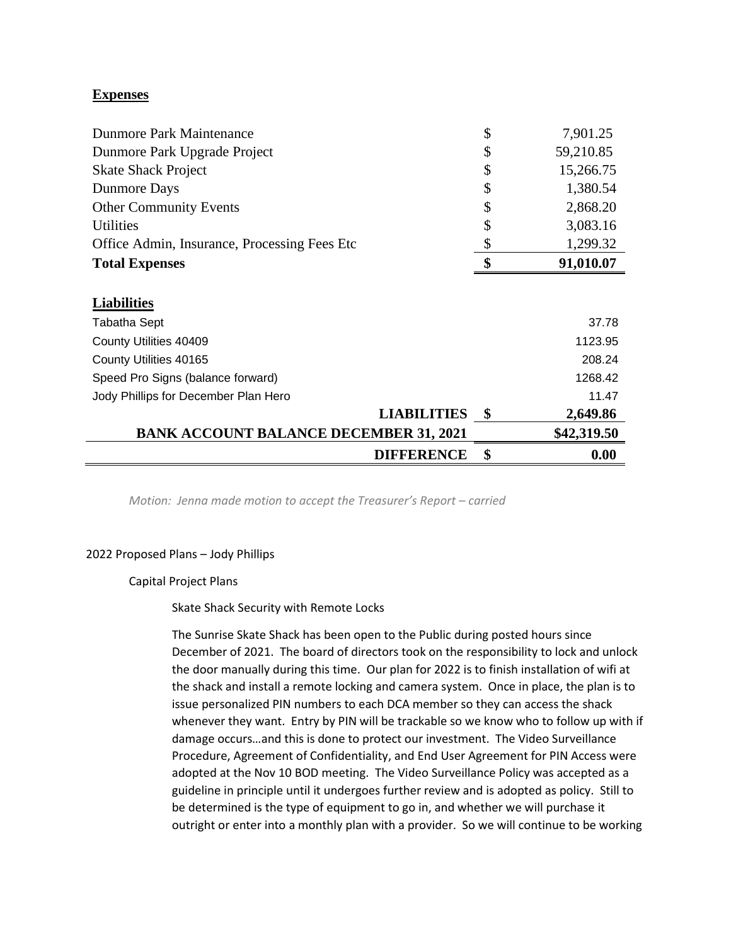# **Expenses**

| <b>Dunmore Park Maintenance</b>               | \$<br>7,901.25  |
|-----------------------------------------------|-----------------|
| Dunmore Park Upgrade Project                  | \$<br>59,210.85 |
| <b>Skate Shack Project</b>                    | \$<br>15,266.75 |
| Dunmore Days                                  | \$<br>1,380.54  |
| <b>Other Community Events</b>                 | \$<br>2,868.20  |
| <b>Utilities</b>                              | \$<br>3,083.16  |
| Office Admin, Insurance, Processing Fees Etc. | \$<br>1,299.32  |
| <b>Total Expenses</b>                         | \$<br>91,010.07 |
|                                               |                 |
| <b>Liabilities</b>                            |                 |
| <b>Tabatha Sept</b>                           | 37.78           |
| County Utilities 40409                        | 1123.95         |
| County Utilities 40165                        | 208.24          |
| Speed Pro Signs (balance forward)             | 1268.42         |
| Jody Phillips for December Plan Hero          | 11.47           |
| <b>LIABILITIES</b>                            | \$<br>2,649.86  |
| <b>BANK ACCOUNT BALANCE DECEMBER 31, 2021</b> | \$42,319.50     |
| <b>DIFFERENCE</b>                             | \$<br>0.00      |

*Motion: Jenna made motion to accept the Treasurer's Report – carried*

# 2022 Proposed Plans – Jody Phillips

Capital Project Plans

Skate Shack Security with Remote Locks

The Sunrise Skate Shack has been open to the Public during posted hours since December of 2021. The board of directors took on the responsibility to lock and unlock the door manually during this time. Our plan for 2022 is to finish installation of wifi at the shack and install a remote locking and camera system. Once in place, the plan is to issue personalized PIN numbers to each DCA member so they can access the shack whenever they want. Entry by PIN will be trackable so we know who to follow up with if damage occurs…and this is done to protect our investment. The Video Surveillance Procedure, Agreement of Confidentiality, and End User Agreement for PIN Access were adopted at the Nov 10 BOD meeting. The Video Surveillance Policy was accepted as a guideline in principle until it undergoes further review and is adopted as policy. Still to be determined is the type of equipment to go in, and whether we will purchase it outright or enter into a monthly plan with a provider. So we will continue to be working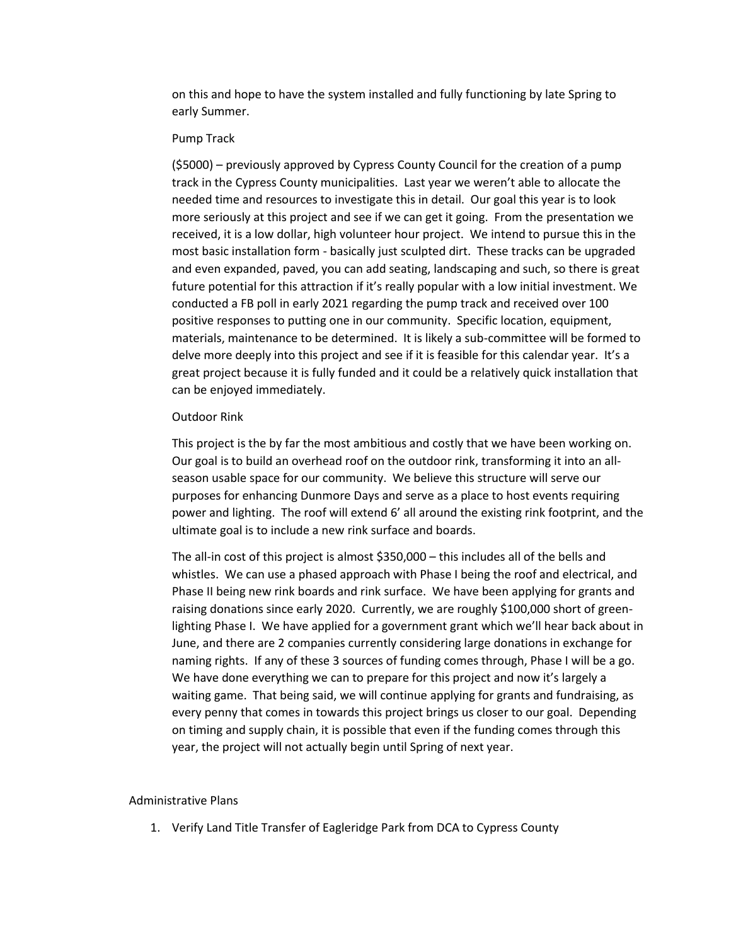on this and hope to have the system installed and fully functioning by late Spring to early Summer.

### Pump Track

(\$5000) – previously approved by Cypress County Council for the creation of a pump track in the Cypress County municipalities. Last year we weren't able to allocate the needed time and resources to investigate this in detail. Our goal this year is to look more seriously at this project and see if we can get it going. From the presentation we received, it is a low dollar, high volunteer hour project. We intend to pursue this in the most basic installation form - basically just sculpted dirt. These tracks can be upgraded and even expanded, paved, you can add seating, landscaping and such, so there is great future potential for this attraction if it's really popular with a low initial investment. We conducted a FB poll in early 2021 regarding the pump track and received over 100 positive responses to putting one in our community. Specific location, equipment, materials, maintenance to be determined. It is likely a sub-committee will be formed to delve more deeply into this project and see if it is feasible for this calendar year. It's a great project because it is fully funded and it could be a relatively quick installation that can be enjoyed immediately.

#### Outdoor Rink

This project is the by far the most ambitious and costly that we have been working on. Our goal is to build an overhead roof on the outdoor rink, transforming it into an allseason usable space for our community. We believe this structure will serve our purposes for enhancing Dunmore Days and serve as a place to host events requiring power and lighting. The roof will extend 6' all around the existing rink footprint, and the ultimate goal is to include a new rink surface and boards.

The all-in cost of this project is almost \$350,000 – this includes all of the bells and whistles. We can use a phased approach with Phase I being the roof and electrical, and Phase II being new rink boards and rink surface. We have been applying for grants and raising donations since early 2020. Currently, we are roughly \$100,000 short of greenlighting Phase I. We have applied for a government grant which we'll hear back about in June, and there are 2 companies currently considering large donations in exchange for naming rights. If any of these 3 sources of funding comes through, Phase I will be a go. We have done everything we can to prepare for this project and now it's largely a waiting game. That being said, we will continue applying for grants and fundraising, as every penny that comes in towards this project brings us closer to our goal. Depending on timing and supply chain, it is possible that even if the funding comes through this year, the project will not actually begin until Spring of next year.

### Administrative Plans

1. Verify Land Title Transfer of Eagleridge Park from DCA to Cypress County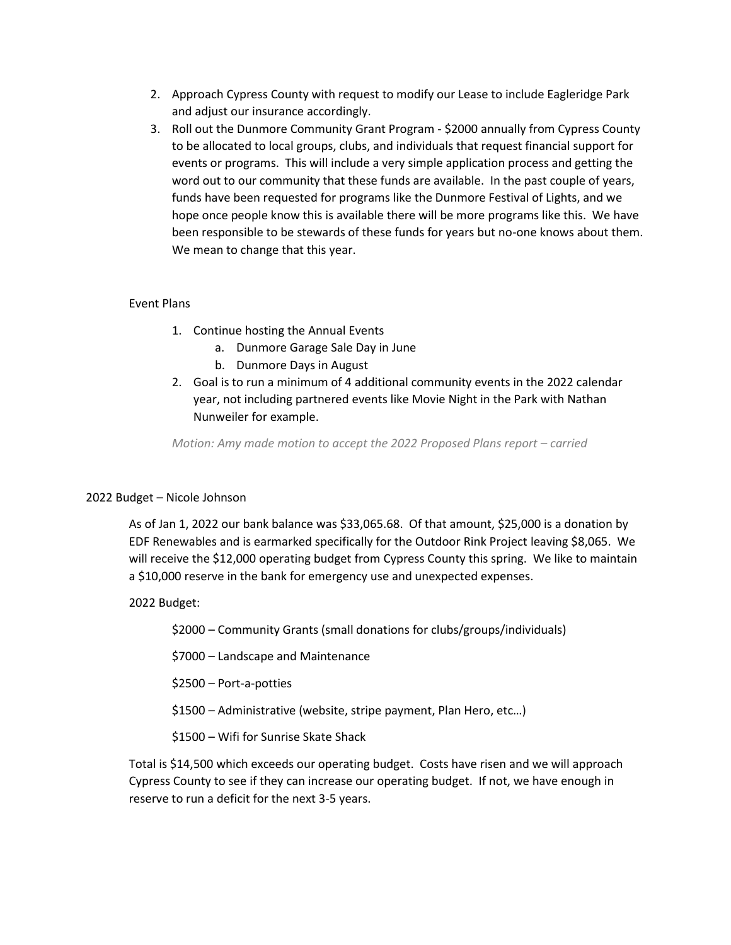- 2. Approach Cypress County with request to modify our Lease to include Eagleridge Park and adjust our insurance accordingly.
- 3. Roll out the Dunmore Community Grant Program \$2000 annually from Cypress County to be allocated to local groups, clubs, and individuals that request financial support for events or programs. This will include a very simple application process and getting the word out to our community that these funds are available. In the past couple of years, funds have been requested for programs like the Dunmore Festival of Lights, and we hope once people know this is available there will be more programs like this. We have been responsible to be stewards of these funds for years but no-one knows about them. We mean to change that this year.

# Event Plans

- 1. Continue hosting the Annual Events
	- a. Dunmore Garage Sale Day in June
	- b. Dunmore Days in August
- 2. Goal is to run a minimum of 4 additional community events in the 2022 calendar year, not including partnered events like Movie Night in the Park with Nathan Nunweiler for example.

*Motion: Amy made motion to accept the 2022 Proposed Plans report – carried*

# 2022 Budget – Nicole Johnson

As of Jan 1, 2022 our bank balance was \$33,065.68. Of that amount, \$25,000 is a donation by EDF Renewables and is earmarked specifically for the Outdoor Rink Project leaving \$8,065. We will receive the \$12,000 operating budget from Cypress County this spring. We like to maintain a \$10,000 reserve in the bank for emergency use and unexpected expenses.

# 2022 Budget:

\$2000 – Community Grants (small donations for clubs/groups/individuals)

\$7000 – Landscape and Maintenance

\$2500 – Port-a-potties

\$1500 – Administrative (website, stripe payment, Plan Hero, etc…)

\$1500 – Wifi for Sunrise Skate Shack

Total is \$14,500 which exceeds our operating budget. Costs have risen and we will approach Cypress County to see if they can increase our operating budget. If not, we have enough in reserve to run a deficit for the next 3-5 years.